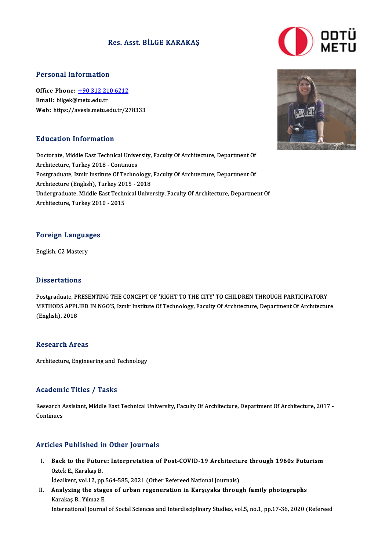## Res. Asst. BİLGE KARAKAŞ



### Personal Information

Personal Information<br>Office Phone: <u>+90 312 210 6212</u><br>Email: bilgel:@matuedu.tr office Phone: <u>+90 312 21</u><br>Email: bilgek@metu.edu.tr<br>Web. https://syssis.metu.e Email: bilgek@metu.edu.tr<br>Web: https://a[vesis.metu.edu.tr/2](tel:+90 312 210 6212)78333

## Education Information

Education Information<br>Doctorate, Middle East Technical University, Faculty Of Architecture, Department Of **Architecture, Middle East Technical Unive<br>Architecture, Turkey 2018 - Continues<br>Bestaveduate, Ismin Institute Of Techne** Doctorate, Middle East Technical University, Faculty Of Architecture, Department Of<br>Architecture, Turkey 2018 - Continues<br>Postgraduate, Izmir Institute Of Technology, Faculty Of Architecture, Department Of<br>Architecture (En Architecture, Turkey 2018 - Continues<br>Postgraduate, Izmir Institute Of Technology, Faculty Of Architecture, Department Of<br>Architecture (English), Turkey 2015 - 2018 Postgraduate, Izmir Institute Of Technology, Faculty Of Architecture, Department Of<br>Architecture (English), Turkey 2015 - 2018<br>Undergraduate, Middle East Technical University, Faculty Of Architecture, Department Of<br>Archite Architecture (English), Turkey 201<br>Undergraduate, Middle East Techn<br>Architecture, Turkey 2010 - 2015

# Foreign Languages F<mark>oreign Langua</mark><br>English, C2 Mastery

English, C2 Mastery<br>Dissertations

Dissertations<br>Postgraduate, PRESENTING THE CONCEPT OF 'RIGHT TO THE CITY' TO CHILDREN THROUGH PARTICIPATORY<br>METHODS APPLIED IN NGO'S Jamin Institute Of Technology, Eqsulty Of Anchitecture, Dengutment Of Anchitectur D'ISSOT CATIONS<br>Postgraduate, PRESENTING THE CONCEPT OF 'RIGHT TO THE CITY' TO CHILDREN THROUGH PARTICIPATORY<br>METHODS APPLIED IN NGO'S, Izmir Institute Of Technology, Faculty Of Architecture, Department Of Architecture Postgraduate, PI<br>METHODS APPL<br>(Englısh), 2018 (English), 2018<br>Research Areas

Architecture, Engineering and Technology

## Academic Titles / Tasks

Academic Titles / Tasks<br>Research Assistant, Middle East Technical University, Faculty Of Architecture, Department Of Architecture, 2017 -<br>Centinues Research A<br>Continues

# Articles Published in Other Journals

- rticles Published in Other Journals<br>I. Back to the Future: Interpretation of Post-COVID-19 Architecture through 1960s Futurism<br>Östek E. Karakas B Back to the Futur<br>Öztek E., Karakaş B.<br>İdealient vol 12. nu Back to the Future: Interpretation of Post-COVID-19 Architectu<br>Öztek E., Karakaş B.<br>İdealkent, vol.12, pp.564-585, 2021 (Other Refereed National Journals)<br>Analyzing the stages of urban regeneration in Karawaka throug
- Öztek E., Karakaş B.<br>İdealkent, vol.12, pp.564-585, 2021 (Other Refereed National Journals)<br>II. Analyzing the stages of urban regeneration in Karşıyaka through family photographs<br>Karakas B. Yılmaz E idealkent, vol.12, pp.<br>Analyzing the stag<br>Karakaş B., Yılmaz E.<br>International Journal Analyzing the stages of urban regeneration in Karşıyaka through family photographs<br>Karakaş B., Yılmaz E.<br>International Journal of Social Sciences and Interdisciplinary Studies, vol.5, no.1, pp.17-36, 2020 (Refereed